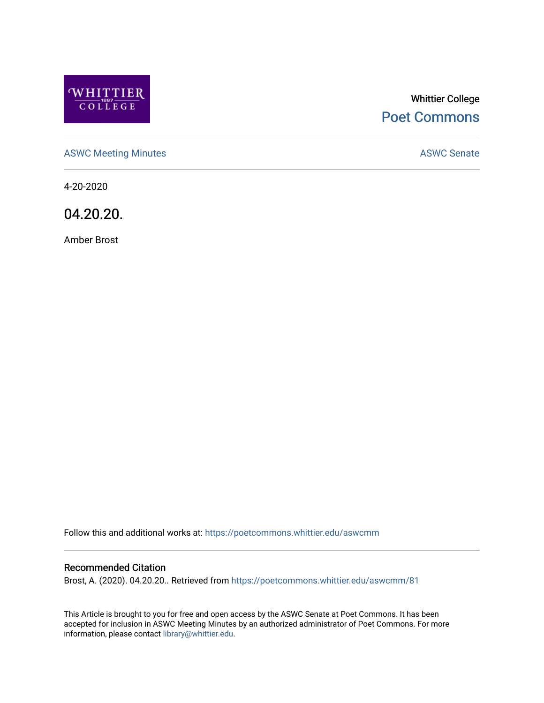

# Whittier College [Poet Commons](https://poetcommons.whittier.edu/)

[ASWC Meeting Minutes](https://poetcommons.whittier.edu/aswcmm) **ASWC Senate** 

4-20-2020

04.20.20.

Amber Brost

Follow this and additional works at: [https://poetcommons.whittier.edu/aswcmm](https://poetcommons.whittier.edu/aswcmm?utm_source=poetcommons.whittier.edu%2Faswcmm%2F81&utm_medium=PDF&utm_campaign=PDFCoverPages)

#### Recommended Citation

Brost, A. (2020). 04.20.20.. Retrieved from [https://poetcommons.whittier.edu/aswcmm/81](https://poetcommons.whittier.edu/aswcmm/81?utm_source=poetcommons.whittier.edu%2Faswcmm%2F81&utm_medium=PDF&utm_campaign=PDFCoverPages)

This Article is brought to you for free and open access by the ASWC Senate at Poet Commons. It has been accepted for inclusion in ASWC Meeting Minutes by an authorized administrator of Poet Commons. For more information, please contact [library@whittier.edu.](mailto:library@whittier.edu)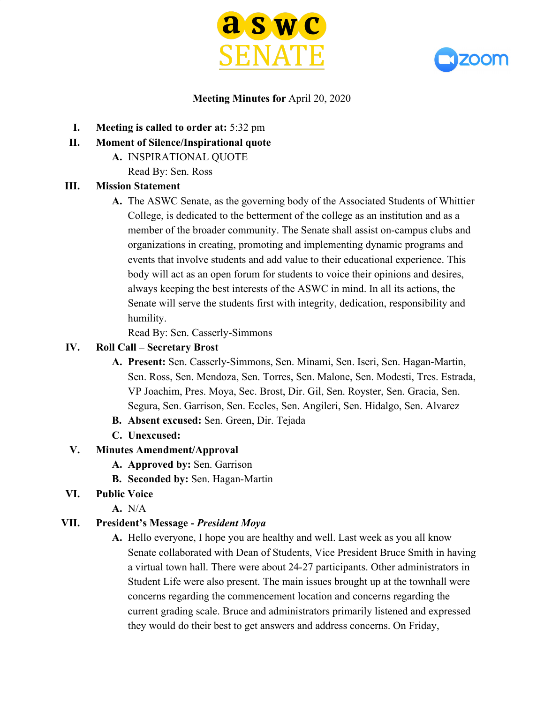



### **Meeting Minutes for** April 20, 2020

- **I. Meeting is called to order at:** 5:32 pm
- **II. Moment of Silence/Inspirational quote**
	- **A.** INSPIRATIONAL QUOTE Read By: Sen. Ross

#### **III. Mission Statement**

**A.** The ASWC Senate, as the governing body of the Associated Students of Whittier College, is dedicated to the betterment of the college as an institution and as a member of the broader community. The Senate shall assist on-campus clubs and organizations in creating, promoting and implementing dynamic programs and events that involve students and add value to their educational experience. This body will act as an open forum for students to voice their opinions and desires, always keeping the best interests of the ASWC in mind. In all its actions, the Senate will serve the students first with integrity, dedication, responsibility and humility.

Read By: Sen. Casserly-Simmons

### **IV. Roll Call – Secretary Brost**

- **A. Present:** Sen. Casserly-Simmons, Sen. Minami, Sen. Iseri, Sen. Hagan-Martin, Sen. Ross, Sen. Mendoza, Sen. Torres, Sen. Malone, Sen. Modesti, Tres. Estrada, VP Joachim, Pres. Moya, Sec. Brost, Dir. Gil, Sen. Royster, Sen. Gracia, Sen. Segura, Sen. Garrison, Sen. Eccles, Sen. Angileri, Sen. Hidalgo, Sen. Alvarez
- **B. Absent excused:** Sen. Green, Dir. Tejada
- **C. Unexcused:**

### **V. Minutes Amendment/Approval**

- **A. Approved by:** Sen. Garrison
- **B. Seconded by:** Sen. Hagan-Martin
- **VI. Public Voice**
	- **A.** N/A

#### **VII. President's Message -** *President Moya*

**A.** Hello everyone, I hope you are healthy and well. Last week as you all know Senate collaborated with Dean of Students, Vice President Bruce Smith in having a virtual town hall. There were about 24-27 participants. Other administrators in Student Life were also present. The main issues brought up at the townhall were concerns regarding the commencement location and concerns regarding the current grading scale. Bruce and administrators primarily listened and expressed they would do their best to get answers and address concerns. On Friday,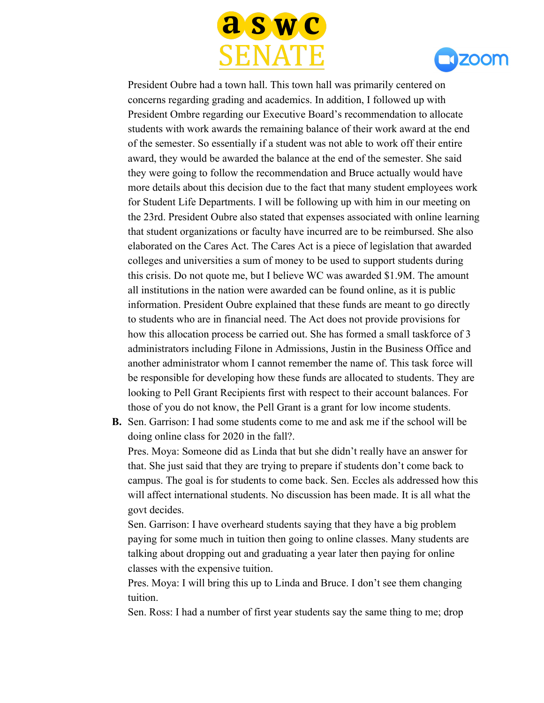



President Oubre had a town hall. This town hall was primarily centered on concerns regarding grading and academics. In addition, I followed up with President Ombre regarding our Executive Board's recommendation to allocate students with work awards the remaining balance of their work award at the end of the semester. So essentially if a student was not able to work off their entire award, they would be awarded the balance at the end of the semester. She said they were going to follow the recommendation and Bruce actually would have more details about this decision due to the fact that many student employees work for Student Life Departments. I will be following up with him in our meeting on the 23rd. President Oubre also stated that expenses associated with online learning that student organizations or faculty have incurred are to be reimbursed. She also elaborated on the Cares Act. The Cares Act is a piece of legislation that awarded colleges and universities a sum of money to be used to support students during this crisis. Do not quote me, but I believe WC was awarded \$1.9M. The amount all institutions in the nation were awarded can be found online, as it is public information. President Oubre explained that these funds are meant to go directly to students who are in financial need. The Act does not provide provisions for how this allocation process be carried out. She has formed a small taskforce of 3 administrators including Filone in Admissions, Justin in the Business Office and another administrator whom I cannot remember the name of. This task force will be responsible for developing how these funds are allocated to students. They are looking to Pell Grant Recipients first with respect to their account balances. For those of you do not know, the Pell Grant is a grant for low income students.

**B.** Sen. Garrison: I had some students come to me and ask me if the school will be doing online class for 2020 in the fall?. Pres. Moya: Someone did as Linda that but she didn't really have an answer for that. She just said that they are trying to prepare if students don't come back to campus. The goal is for students to come back. Sen. Eccles als addressed how this will affect international students. No discussion has been made. It is all what the govt decides.

Sen. Garrison: I have overheard students saying that they have a big problem paying for some much in tuition then going to online classes. Many students are talking about dropping out and graduating a year later then paying for online classes with the expensive tuition.

Pres. Moya: I will bring this up to Linda and Bruce. I don't see them changing tuition.

Sen. Ross: I had a number of first year students say the same thing to me; drop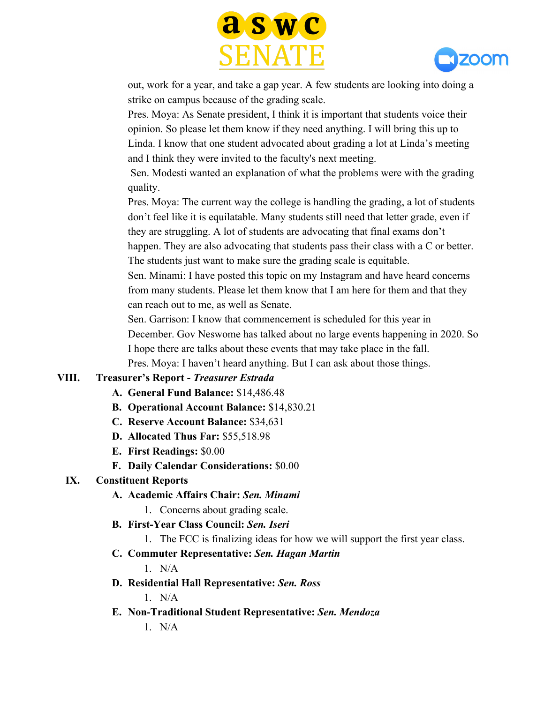



out, work for a year, and take a gap year. A few students are looking into doing a strike on campus because of the grading scale.

Pres. Moya: As Senate president, I think it is important that students voice their opinion. So please let them know if they need anything. I will bring this up to Linda. I know that one student advocated about grading a lot at Linda's meeting and I think they were invited to the faculty's next meeting.

 Sen. Modesti wanted an explanation of what the problems were with the grading quality.

Pres. Moya: The current way the college is handling the grading, a lot of students don't feel like it is equilatable. Many students still need that letter grade, even if they are struggling. A lot of students are advocating that final exams don't

happen. They are also advocating that students pass their class with a C or better. The students just want to make sure the grading scale is equitable.

Sen. Minami: I have posted this topic on my Instagram and have heard concerns from many students. Please let them know that I am here for them and that they can reach out to me, as well as Senate.

Sen. Garrison: I know that commencement is scheduled for this year in December. Gov Neswome has talked about no large events happening in 2020. So I hope there are talks about these events that may take place in the fall. Pres. Moya: I haven't heard anything. But I can ask about those things.

### **VIII. Treasurer's Report -** *Treasurer Estrada*

- **A. General Fund Balance:** \$14,486.48
- **B. Operational Account Balance:** \$14,830.21
- **C. Reserve Account Balance:** \$34,631
- **D. Allocated Thus Far:** \$55,518.98
- **E. First Readings:** \$0.00
- **F. Daily Calendar Considerations:** \$0.00

### **IX. Constituent Reports**

- **A. Academic Affairs Chair:** *Sen. Minami*
	- 1. Concerns about grading scale.
- **B. First-Year Class Council:** *Sen. Iseri*
	- 1. The FCC is finalizing ideas for how we will support the first year class.
- **C. Commuter Representative:** *Sen. Hagan Martin*

1. N/A

**D. Residential Hall Representative:** *Sen. Ross*

 $1$  N/A

- **E. Non-Traditional Student Representative:** *Sen. Mendoza*
	- $1$  N/A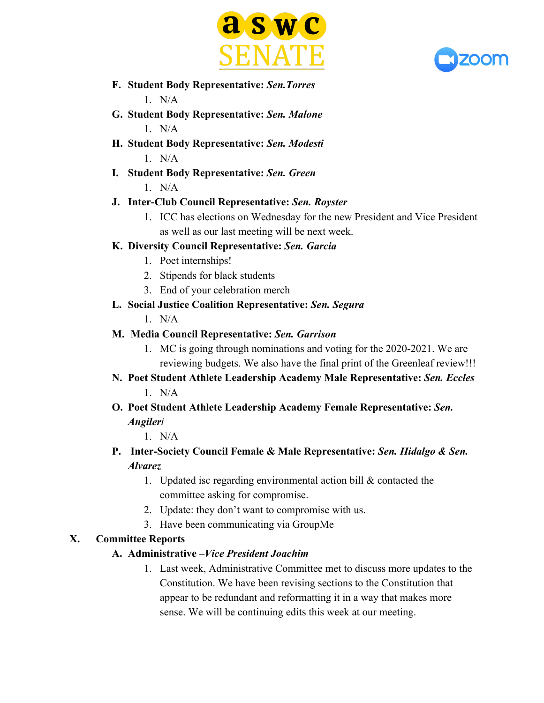



- **F. Student Body Representative:** *Sen.Torres* 1. N/A
- **G. Student Body Representative:** *Sen. Malone*  $1$  N/A
- **H. Student Body Representative:** *Sen. Modesti* 1. N/A
- **I. Student Body Representative:** *Sen. Green*  $1$  N/A

### **J. Inter-Club Council Representative:** *Sen. Royster*

- 1. ICC has elections on Wednesday for the new President and Vice President as well as our last meeting will be next week.
- **K. Diversity Council Representative:** *Sen. Garcia*
	- 1. Poet internships!
	- 2. Stipends for black students
	- 3. End of your celebration merch
- **L. Social Justice Coalition Representative:** *Sen. Segura*
	- 1. N/A
- **M. Media Council Representative:** *Sen. Garrison*
	- 1. MC is going through nominations and voting for the 2020-2021. We are reviewing budgets. We also have the final print of the Greenleaf review!!!
- **N. Poet Student Athlete Leadership Academy Male Representative:** *Sen. Eccles*  $1$  N/A
- **O. Poet Student Athlete Leadership Academy Female Representative:** *Sen. Angileri*

1. N/A

- **P. Inter-Society Council Female & Male Representative:** *Sen. Hidalgo & Sen. Alvarez*
	- 1. Updated isc regarding environmental action bill  $&$  contacted the committee asking for compromise.
	- 2. Update: they don't want to compromise with us.
	- 3. Have been communicating via GroupMe

# **X. Committee Reports**

# **A. Administrative –***Vice President Joachim*

1. Last week, Administrative Committee met to discuss more updates to the Constitution. We have been revising sections to the Constitution that appear to be redundant and reformatting it in a way that makes more sense. We will be continuing edits this week at our meeting.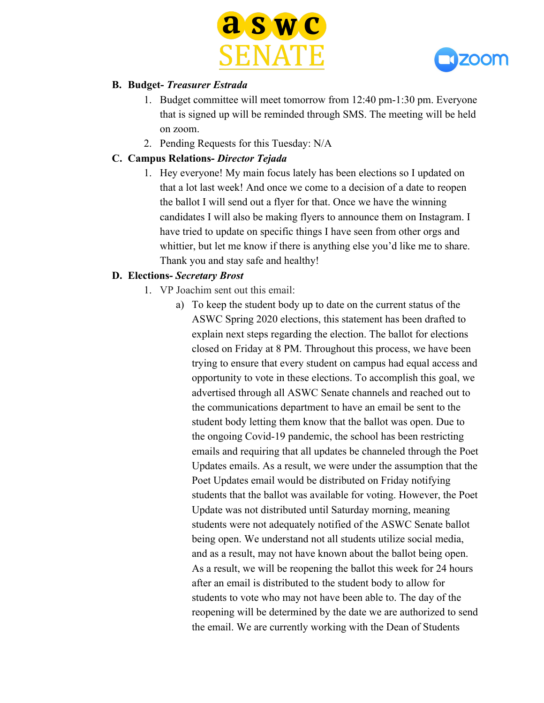



### **B. Budget-** *Treasurer Estrada*

- 1. Budget committee will meet tomorrow from 12:40 pm-1:30 pm. Everyone that is signed up will be reminded through SMS. The meeting will be held on zoom.
- 2. Pending Requests for this Tuesday: N/A

### **C. Campus Relations-** *Director Tejada*

1. Hey everyone! My main focus lately has been elections so I updated on that a lot last week! And once we come to a decision of a date to reopen the ballot I will send out a flyer for that. Once we have the winning candidates I will also be making flyers to announce them on Instagram. I have tried to update on specific things I have seen from other orgs and whittier, but let me know if there is anything else you'd like me to share. Thank you and stay safe and healthy!

### **D. Elections-** *Secretary Brost*

- 1. VP Joachim sent out this email:
	- a) To keep the student body up to date on the current status of the ASWC Spring 2020 elections, this statement has been drafted to explain next steps regarding the election. The ballot for elections closed on Friday at 8 PM. Throughout this process, we have been trying to ensure that every student on campus had equal access and opportunity to vote in these elections. To accomplish this goal, we advertised through all ASWC Senate channels and reached out to the communications department to have an email be sent to the student body letting them know that the ballot was open. Due to the ongoing Covid-19 pandemic, the school has been restricting emails and requiring that all updates be channeled through the Poet Updates emails. As a result, we were under the assumption that the Poet Updates email would be distributed on Friday notifying students that the ballot was available for voting. However, the Poet Update was not distributed until Saturday morning, meaning students were not adequately notified of the ASWC Senate ballot being open. We understand not all students utilize social media, and as a result, may not have known about the ballot being open. As a result, we will be reopening the ballot this week for 24 hours after an email is distributed to the student body to allow for students to vote who may not have been able to. The day of the reopening will be determined by the date we are authorized to send the email. We are currently working with the Dean of Students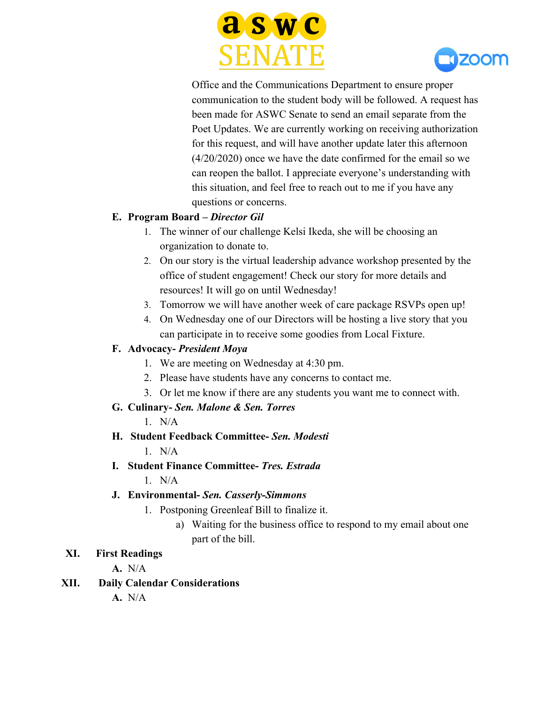



Office and the Communications Department to ensure proper communication to the student body will be followed. A request has been made for ASWC Senate to send an email separate from the Poet Updates. We are currently working on receiving authorization for this request, and will have another update later this afternoon (4/20/2020) once we have the date confirmed for the email so we can reopen the ballot. I appreciate everyone's understanding with this situation, and feel free to reach out to me if you have any questions or concerns.

### **E. Program Board –** *Director Gil*

- 1. The winner of our challenge Kelsi Ikeda, she will be choosing an organization to donate to.
- 2. On our story is the virtual leadership advance workshop presented by the office of student engagement! Check our story for more details and resources! It will go on until Wednesday!
- 3. Tomorrow we will have another week of care package RSVPs open up!
- 4. On Wednesday one of our Directors will be hosting a live story that you can participate in to receive some goodies from Local Fixture.

### **F. Advocacy-** *President Moya*

- 1. We are meeting on Wednesday at 4:30 pm.
- 2. Please have students have any concerns to contact me.
- 3. Or let me know if there are any students you want me to connect with.

# **G. Culinary-** *Sen. Malone & Sen. Torres*

 $1$  N/A

# **H. Student Feedback Committee-** *Sen. Modesti*

- $1$  N/A
- **I. Student Finance Committee-** *Tres. Estrada*  $1$  N/A

# **J. Environmental-** *Sen. Casserly-Simmons*

- 1. Postponing Greenleaf Bill to finalize it.
	- a) Waiting for the business office to respond to my email about one part of the bill.

# **XI. First Readings**

**A.** N/A

# **XII. Daily Calendar Considerations**

**A.** N/A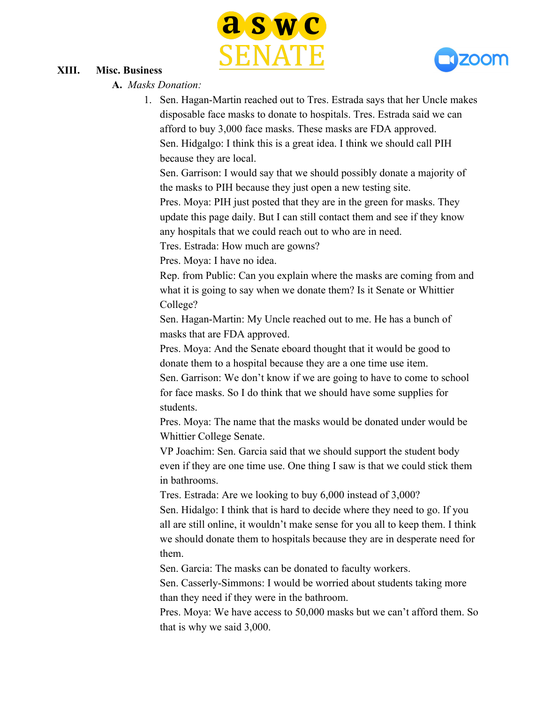



#### **XIII. Misc. Business**

#### **A.** *Masks Donation:*

1. Sen. Hagan-Martin reached out to Tres. Estrada says that her Uncle makes disposable face masks to donate to hospitals. Tres. Estrada said we can afford to buy 3,000 face masks. These masks are FDA approved. Sen. Hidgalgo: I think this is a great idea. I think we should call PIH because they are local.

Sen. Garrison: I would say that we should possibly donate a majority of the masks to PIH because they just open a new testing site.

Pres. Moya: PIH just posted that they are in the green for masks. They update this page daily. But I can still contact them and see if they know any hospitals that we could reach out to who are in need.

Tres. Estrada: How much are gowns?

Pres. Moya: I have no idea.

Rep. from Public: Can you explain where the masks are coming from and what it is going to say when we donate them? Is it Senate or Whittier College?

Sen. Hagan-Martin: My Uncle reached out to me. He has a bunch of masks that are FDA approved.

Pres. Moya: And the Senate eboard thought that it would be good to donate them to a hospital because they are a one time use item.

Sen. Garrison: We don't know if we are going to have to come to school for face masks. So I do think that we should have some supplies for students.

Pres. Moya: The name that the masks would be donated under would be Whittier College Senate.

VP Joachim: Sen. Garcia said that we should support the student body even if they are one time use. One thing I saw is that we could stick them in bathrooms.

Tres. Estrada: Are we looking to buy 6,000 instead of 3,000?

Sen. Hidalgo: I think that is hard to decide where they need to go. If you all are still online, it wouldn't make sense for you all to keep them. I think we should donate them to hospitals because they are in desperate need for them.

Sen. Garcia: The masks can be donated to faculty workers.

Sen. Casserly-Simmons: I would be worried about students taking more than they need if they were in the bathroom.

Pres. Moya: We have access to 50,000 masks but we can't afford them. So that is why we said 3,000.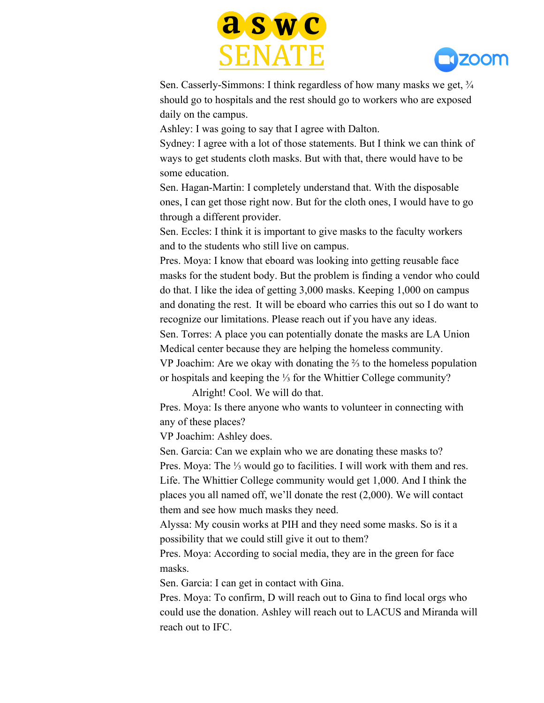



Sen. Casserly-Simmons: I think regardless of how many masks we get,  $\frac{3}{4}$ should go to hospitals and the rest should go to workers who are exposed daily on the campus.

Ashley: I was going to say that I agree with Dalton.

Sydney: I agree with a lot of those statements. But I think we can think of ways to get students cloth masks. But with that, there would have to be some education.

Sen. Hagan-Martin: I completely understand that. With the disposable ones, I can get those right now. But for the cloth ones, I would have to go through a different provider.

Sen. Eccles: I think it is important to give masks to the faculty workers and to the students who still live on campus.

Pres. Moya: I know that eboard was looking into getting reusable face masks for the student body. But the problem is finding a vendor who could do that. I like the idea of getting 3,000 masks. Keeping 1,000 on campus and donating the rest. It will be eboard who carries this out so I do want to recognize our limitations. Please reach out if you have any ideas. Sen. Torres: A place you can potentially donate the masks are LA Union Medical center because they are helping the homeless community. VP Joachim: Are we okay with donating the ⅔ to the homeless population or hospitals and keeping the ⅓ for the Whittier College community?

Alright! Cool. We will do that.

Pres. Moya: Is there anyone who wants to volunteer in connecting with any of these places?

VP Joachim: Ashley does.

Sen. Garcia: Can we explain who we are donating these masks to? Pres. Moya: The ⅓ would go to facilities. I will work with them and res. Life. The Whittier College community would get 1,000. And I think the places you all named off, we'll donate the rest (2,000). We will contact them and see how much masks they need.

Alyssa: My cousin works at PIH and they need some masks. So is it a possibility that we could still give it out to them?

Pres. Moya: According to social media, they are in the green for face masks.

Sen. Garcia: I can get in contact with Gina.

Pres. Moya: To confirm, D will reach out to Gina to find local orgs who could use the donation. Ashley will reach out to LACUS and Miranda will reach out to IFC.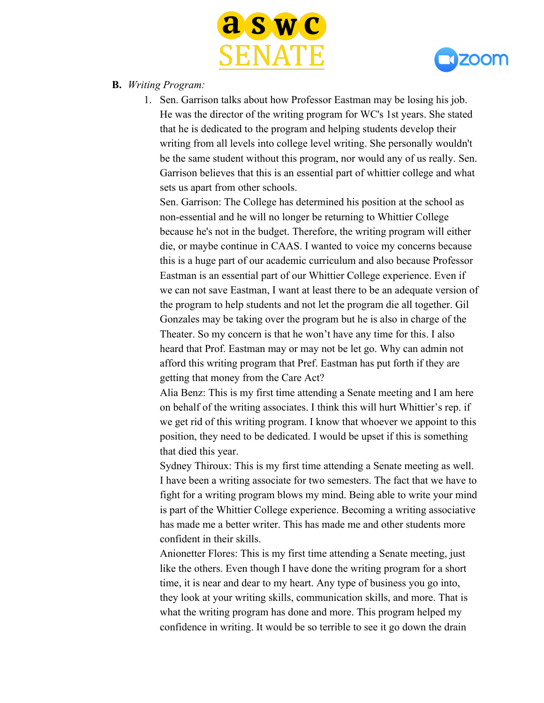



- **B.** *Writing Program:*
	- 1. Sen. Garrison talks about how Professor Eastman may be losing his job. He was the director of the writing program for WC's 1st years. She stated that he is dedicated to the program and helping students develop their writing from all levels into college level writing. She personally wouldn't be the same student without this program, nor would any of us really. Sen. Garrison believes that this is an essential part of whittier college and what sets us apart from other schools.

Sen. Garrison: The College has determined his position at the school as non-essential and he will no longer be returning to Whittier College because he's not in the budget. Therefore, the writing program will either die, or maybe continue in CAAS. I wanted to voice my concerns because this is a huge part of our academic curriculum and also because Professor Eastman is an essential part of our Whittier College experience. Even if we can not save Eastman, I want at least there to be an adequate version of the program to help students and not let the program die all together. Gil Gonzales may be taking over the program but he is also in charge of the Theater. So my concern is that he won't have any time for this. I also heard that Prof. Eastman may or may not be let go. Why can admin not afford this writing program that Pref. Eastman has put forth if they are getting that money from the Care Act?

Alia Benz: This is my first time attending a Senate meeting and I am here on behalf of the writing associates. I think this will hurt Whittier's rep. if we get rid of this writing program. I know that whoever we appoint to this position, they need to be dedicated. I would be upset if this is something that died this year.

Sydney Thiroux: This is my first time attending a Senate meeting as well. I have been a writing associate for two semesters. The fact that we have to fight for a writing program blows my mind. Being able to write your mind is part of the Whittier College experience. Becoming a writing associative has made me a better writer. This has made me and other students more confident in their skills.

Anionetter Flores: This is my first time attending a Senate meeting, just like the others. Even though I have done the writing program for a short time, it is near and dear to my heart. Any type of business you go into, they look at your writing skills, communication skills, and more. That is what the writing program has done and more. This program helped my confidence in writing. It would be so terrible to see it go down the drain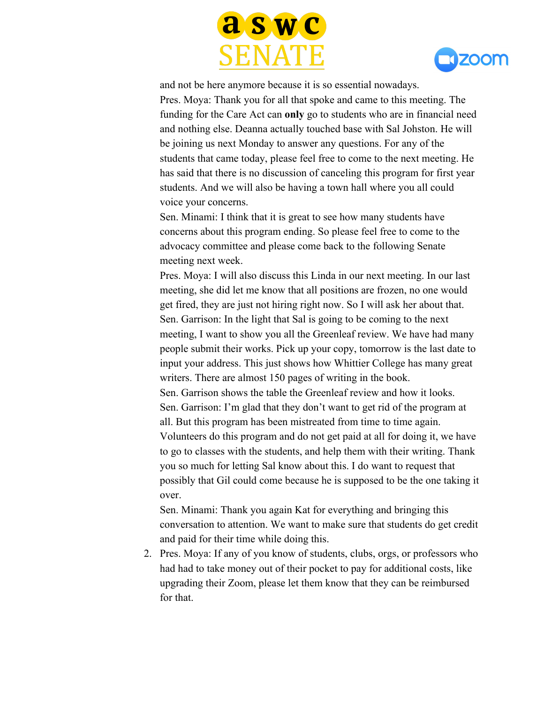



and not be here anymore because it is so essential nowadays. Pres. Moya: Thank you for all that spoke and came to this meeting. The funding for the Care Act can **only** go to students who are in financial need and nothing else. Deanna actually touched base with Sal Johston. He will be joining us next Monday to answer any questions. For any of the students that came today, please feel free to come to the next meeting. He has said that there is no discussion of canceling this program for first year students. And we will also be having a town hall where you all could voice your concerns.

Sen. Minami: I think that it is great to see how many students have concerns about this program ending. So please feel free to come to the advocacy committee and please come back to the following Senate meeting next week.

Pres. Moya: I will also discuss this Linda in our next meeting. In our last meeting, she did let me know that all positions are frozen, no one would get fired, they are just not hiring right now. So I will ask her about that. Sen. Garrison: In the light that Sal is going to be coming to the next meeting, I want to show you all the Greenleaf review. We have had many people submit their works. Pick up your copy, tomorrow is the last date to input your address. This just shows how Whittier College has many great writers. There are almost 150 pages of writing in the book. Sen. Garrison shows the table the Greenleaf review and how it looks. Sen. Garrison: I'm glad that they don't want to get rid of the program at all. But this program has been mistreated from time to time again. Volunteers do this program and do not get paid at all for doing it, we have to go to classes with the students, and help them with their writing. Thank you so much for letting Sal know about this. I do want to request that possibly that Gil could come because he is supposed to be the one taking it over.

Sen. Minami: Thank you again Kat for everything and bringing this conversation to attention. We want to make sure that students do get credit and paid for their time while doing this.

2. Pres. Moya: If any of you know of students, clubs, orgs, or professors who had had to take money out of their pocket to pay for additional costs, like upgrading their Zoom, please let them know that they can be reimbursed for that.